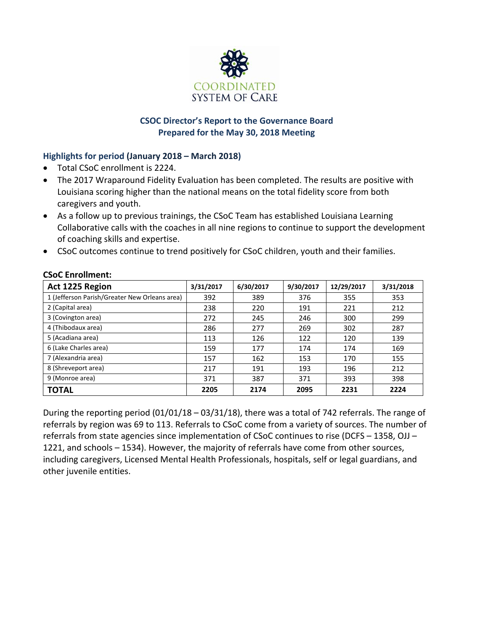

# **CSOC Director's Report to the Governance Board Prepared for the May 30, 2018 Meeting**

# **Highlights for period (January 2018 – March 2018)**

- Total CSoC enrollment is 2224.
- The 2017 Wraparound Fidelity Evaluation has been completed. The results are positive with Louisiana scoring higher than the national means on the total fidelity score from both caregivers and youth.
- As a follow up to previous trainings, the CSoC Team has established Louisiana Learning Collaborative calls with the coaches in all nine regions to continue to support the development of coaching skills and expertise.
- CSoC outcomes continue to trend positively for CSoC children, youth and their families.

| Act 1225 Region                               | 3/31/2017 | 6/30/2017 | 9/30/2017 | 12/29/2017 | 3/31/2018 |
|-----------------------------------------------|-----------|-----------|-----------|------------|-----------|
| 1 (Jefferson Parish/Greater New Orleans area) | 392       | 389       | 376       | 355        | 353       |
| 2 (Capital area)                              | 238       | 220       | 191       | 221        | 212       |
| 3 (Covington area)                            | 272       | 245       | 246       | 300        | 299       |
| 4 (Thibodaux area)                            | 286       | 277       | 269       | 302        | 287       |
| 5 (Acadiana area)                             | 113       | 126       | 122       | 120        | 139       |
| 6 (Lake Charles area)                         | 159       | 177       | 174       | 174        | 169       |
| 7 (Alexandria area)                           | 157       | 162       | 153       | 170        | 155       |
| 8 (Shreveport area)                           | 217       | 191       | 193       | 196        | 212       |
| 9 (Monroe area)                               | 371       | 387       | 371       | 393        | 398       |
| TOTAL                                         | 2205      | 2174      | 2095      | 2231       | 2224      |

# **CSoC Enrollment:**

During the reporting period (01/01/18 – 03/31/18), there was a total of 742 referrals. The range of referrals by region was 69 to 113. Referrals to CSoC come from a variety of sources. The number of referrals from state agencies since implementation of CSoC continues to rise (DCFS – 1358, OJJ – 1221, and schools – 1534). However, the majority of referrals have come from other sources, including caregivers, Licensed Mental Health Professionals, hospitals, self or legal guardians, and other juvenile entities.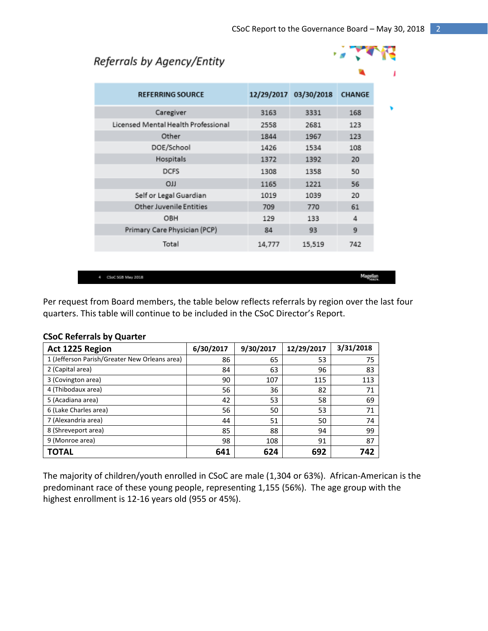# Referrals by Agency/Entity



| <b>REFERRING SOURCE</b>             |        | 12/29/2017 03/30/2018 | <b>CHANGE</b> |
|-------------------------------------|--------|-----------------------|---------------|
| Caregiver                           | 3163   | 3331                  | 168           |
| Licensed Mental Health Professional | 2558   | 2681                  | 123           |
| Other                               | 1844   | 1967                  | 123           |
| DOE/School                          | 1426   | 1534                  | 108           |
| Hospitals                           | 1372   | 1392                  | 20            |
| <b>DCFS</b>                         | 1308   | 1358                  | 50            |
| <b>CIT</b>                          | 1165   | 1221                  | 56            |
| Self or Legal Guardian              | 1019   | 1039                  | 20            |
| <b>Other Juvenile Entities</b>      | 709    | 770                   | 61            |
| OBH                                 | 129    | 133                   | 4             |
| Primary Care Physician (PCP)        | 84     | 93                    | 9             |
| Total                               | 14,777 | 15,519                | 742           |
|                                     |        |                       |               |

4 CSoC SGB May 2018

Magellan

Per request from Board members, the table below reflects referrals by region over the last four quarters. This table will continue to be included in the CSoC Director's Report.

| Act 1225 Region                               | 6/30/2017 | 9/30/2017 | 12/29/2017 | 3/31/2018 |
|-----------------------------------------------|-----------|-----------|------------|-----------|
| 1 (Jefferson Parish/Greater New Orleans area) | 86        | 65        | 53         | 75        |
| 2 (Capital area)                              | 84        | 63        | 96         | 83        |
| 3 (Covington area)                            | 90        | 107       | 115        | 113       |
| 4 (Thibodaux area)                            | 56        | 36        | 82         | 71        |
| 5 (Acadiana area)                             | 42        | 53        | 58         | 69        |
| 6 (Lake Charles area)                         | 56        | 50        | 53         | 71        |
| 7 (Alexandria area)                           | 44        | 51        | 50         | 74        |
| 8 (Shreveport area)                           | 85        | 88        | 94         | 99        |
| 9 (Monroe area)                               | 98        | 108       | 91         | 87        |
| TOTAL                                         | 641       | 624       | 692        | 742       |

#### **CSoC Referrals by Quarter**

The majority of children/youth enrolled in CSoC are male (1,304 or 63%). African-American is the predominant race of these young people, representing 1,155 (56%). The age group with the highest enrollment is 12-16 years old (955 or 45%).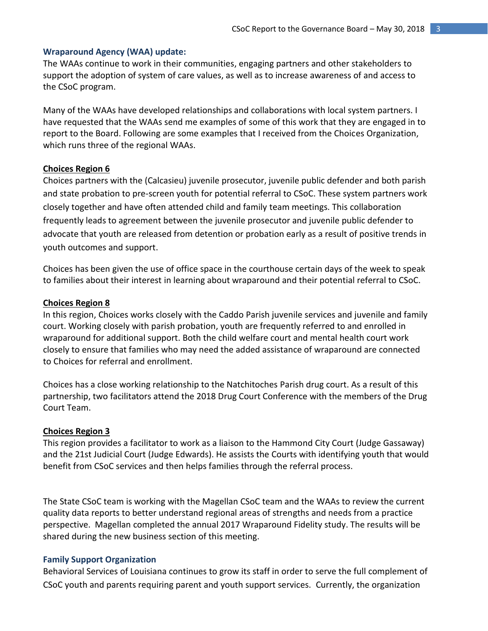# **Wraparound Agency (WAA) update:**

The WAAs continue to work in their communities, engaging partners and other stakeholders to support the adoption of system of care values, as well as to increase awareness of and access to the CSoC program.

Many of the WAAs have developed relationships and collaborations with local system partners. I have requested that the WAAs send me examples of some of this work that they are engaged in to report to the Board. Following are some examples that I received from the Choices Organization, which runs three of the regional WAAs.

#### **Choices Region 6**

Choices partners with the (Calcasieu) juvenile prosecutor, juvenile public defender and both parish and state probation to pre-screen youth for potential referral to CSoC. These system partners work closely together and have often attended child and family team meetings. This collaboration frequently leads to agreement between the juvenile prosecutor and juvenile public defender to advocate that youth are released from detention or probation early as a result of positive trends in youth outcomes and support.

Choices has been given the use of office space in the courthouse certain days of the week to speak to families about their interest in learning about wraparound and their potential referral to CSoC.

#### **Choices Region 8**

In this region, Choices works closely with the Caddo Parish juvenile services and juvenile and family court. Working closely with parish probation, youth are frequently referred to and enrolled in wraparound for additional support. Both the child welfare court and mental health court work closely to ensure that families who may need the added assistance of wraparound are connected to Choices for referral and enrollment.

Choices has a close working relationship to the Natchitoches Parish drug court. As a result of this partnership, two facilitators attend the 2018 Drug Court Conference with the members of the Drug Court Team.

#### **Choices Region 3**

This region provides a facilitator to work as a liaison to the Hammond City Court (Judge Gassaway) and the 21st Judicial Court (Judge Edwards). He assists the Courts with identifying youth that would benefit from CSoC services and then helps families through the referral process.

The State CSoC team is working with the Magellan CSoC team and the WAAs to review the current quality data reports to better understand regional areas of strengths and needs from a practice perspective. Magellan completed the annual 2017 Wraparound Fidelity study. The results will be shared during the new business section of this meeting.

#### **Family Support Organization**

Behavioral Services of Louisiana continues to grow its staff in order to serve the full complement of CSoC youth and parents requiring parent and youth support services. Currently, the organization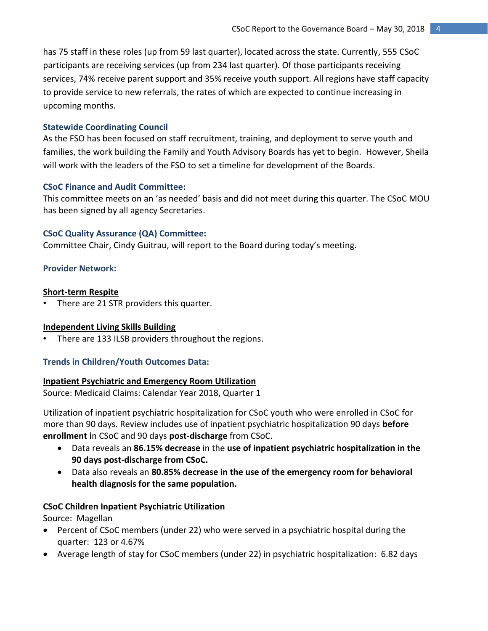has 75 staff in these roles (up from 59 last quarter), located across the state. Currently, 555 CSoC participants are receiving services (up from 234 last quarter). Of those participants receiving services, 74% receive parent support and 35% receive youth support. All regions have staff capacity to provide service to new referrals, the rates of which are expected to continue increasing in upcoming months.

## **Statewide Coordinating Council**

As the FSO has been focused on staff recruitment, training, and deployment to serve youth and families, the work building the Family and Youth Advisory Boards has yet to begin. However, Sheila will work with the leaders of the FSO to set a timeline for development of the Boards.

#### **CSoC Finance and Audit Committee:**

This committee meets on an 'as needed' basis and did not meet during this quarter. The CSoC MOU has been signed by all agency Secretaries.

## **CSoC Quality Assurance (QA) Committee:**

Committee Chair, Cindy Guitrau, will report to the Board during today's meeting.

#### **Provider Network:**

#### **Short-term Respite**

• There are 21 STR providers this quarter.

## **Independent Living Skills Building**

There are 133 ILSB providers throughout the regions.

## **Trends in Children/Youth Outcomes Data:**

#### **Inpatient Psychiatric and Emergency Room Utilization**

Source: Medicaid Claims: Calendar Year 2018, Quarter 1

Utilization of inpatient psychiatric hospitalization for CSoC youth who were enrolled in CSoC for more than 90 days. Review includes use of inpatient psychiatric hospitalization 90 days **before enrollment i**n CSoC and 90 days **post-discharge** from CSoC.

- Data reveals an **86.15% decrease** in the **use of inpatient psychiatric hospitalization in the 90 days post-discharge from CSoC.**
- Data also reveals an **80.85% decrease in the use of the emergency room for behavioral health diagnosis for the same population.**

#### **CSoC Children Inpatient Psychiatric Utilization**

Source: Magellan

- Percent of CSoC members (under 22) who were served in a psychiatric hospital during the quarter: 123 or 4.67%
- Average length of stay for CSoC members (under 22) in psychiatric hospitalization: 6.82 days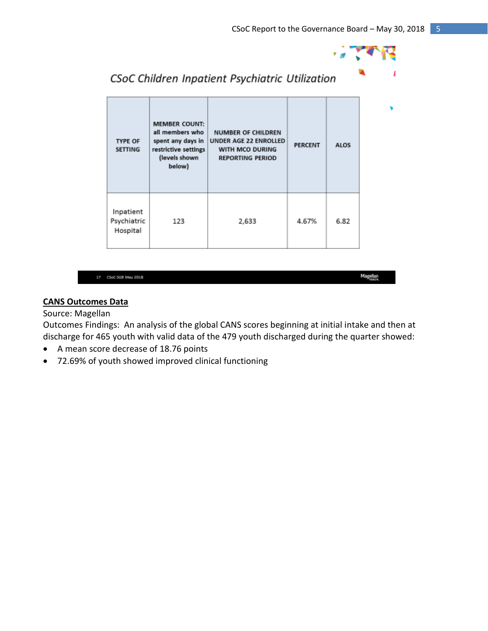

| <b>TYPE OF</b><br><b>SETTING</b>     | <b>MEMBER COUNT:</b><br>all members who<br>spent any days in<br>restrictive settings<br>(levels shown<br>below) | <b>NUMBER OF CHILDREN</b><br>UNDER AGE 22 ENROLLED<br>WITH MCO DURING<br><b>REPORTING PERIOD</b> | <b>PERCENT</b> | ALOS |
|--------------------------------------|-----------------------------------------------------------------------------------------------------------------|--------------------------------------------------------------------------------------------------|----------------|------|
| Inpatient<br>Psychiatric<br>Hospital | 123                                                                                                             | 2,633                                                                                            | 4.67%          | 6.82 |

CSoC Children Inpatient Psychiatric Utilization

|  | CSoC 5GB May 2018 |
|--|-------------------|

Magellan

# **CANS Outcomes Data**

# Source: Magellan

Outcomes Findings: An analysis of the global CANS scores beginning at initial intake and then at discharge for 465 youth with valid data of the 479 youth discharged during the quarter showed:

- A mean score decrease of 18.76 points
- 72.69% of youth showed improved clinical functioning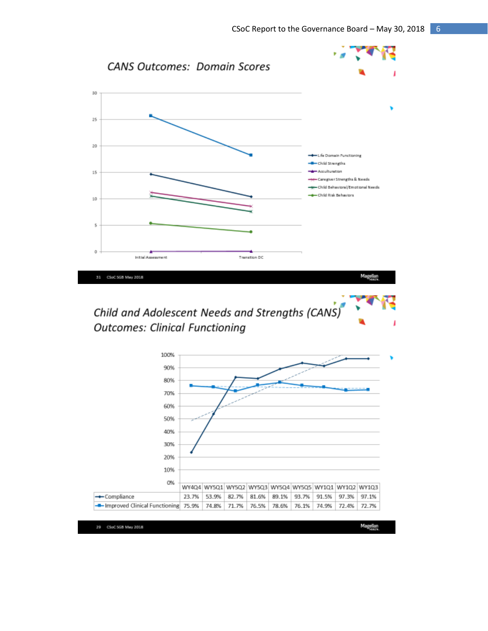

Child and Adolescent Needs and Strengths (CANS) **Outcomes: Clinical Functioning** 



29 CSoC 5GB May 2018

Magellan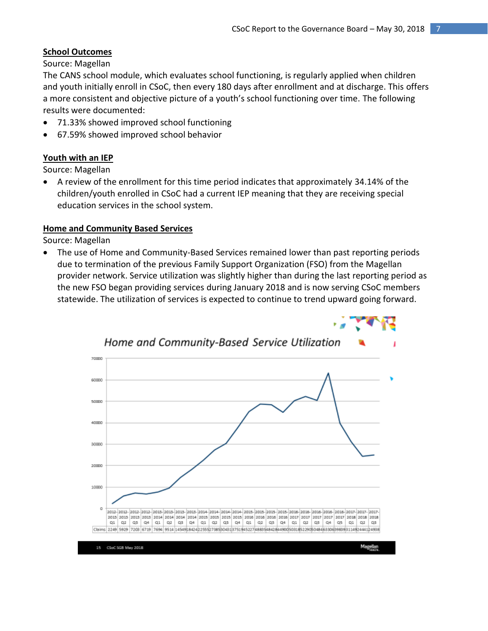# **School Outcomes**

Source: Magellan

The CANS school module, which evaluates school functioning, is regularly applied when children and youth initially enroll in CSoC, then every 180 days after enrollment and at discharge. This offers a more consistent and objective picture of a youth's school functioning over time. The following results were documented:

- 71.33% showed improved school functioning
- 67.59% showed improved school behavior

# **Youth with an IEP**

Source: Magellan

 A review of the enrollment for this time period indicates that approximately 34.14% of the children/youth enrolled in CSoC had a current IEP meaning that they are receiving special education services in the school system.

## **Home and Community Based Services**

Source: Magellan

 The use of Home and Community-Based Services remained lower than past reporting periods due to termination of the previous Family Support Organization (FSO) from the Magellan provider network. Service utilization was slightly higher than during the last reporting period as the new FSO began providing services during January 2018 and is now serving CSoC members statewide. The utilization of services is expected to continue to trend upward going forward.

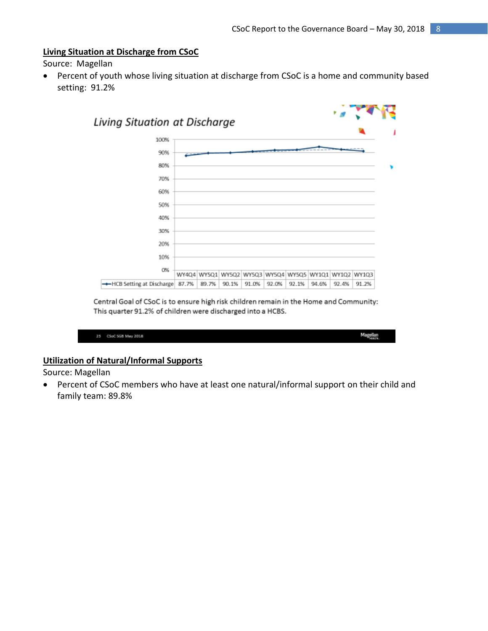#### **Living Situation at Discharge from CSoC**

Source: Magellan

 Percent of youth whose living situation at discharge from CSoC is a home and community based setting: 91.2%



Central Goal of CSoC is to ensure high risk children remain in the Home and Community: This quarter 91.2% of children were discharged into a HCBS.

| 25 CSoC 5GB May 2018 | Magellan<br><b>STATE</b> |
|----------------------|--------------------------|

# **Utilization of Natural/Informal Supports**

Source: Magellan

 Percent of CSoC members who have at least one natural/informal support on their child and family team: 89.8%